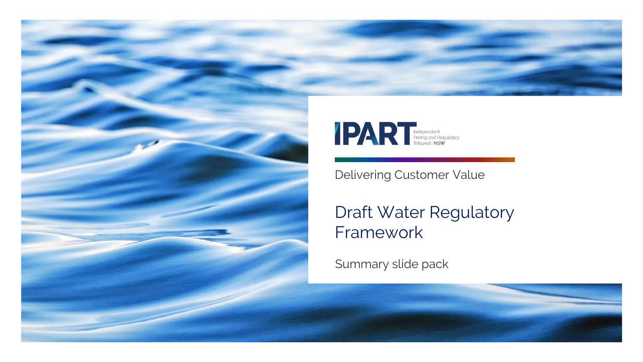



Delivering Customer Value

### Draft Water Regulatory Framework

Summary slide pack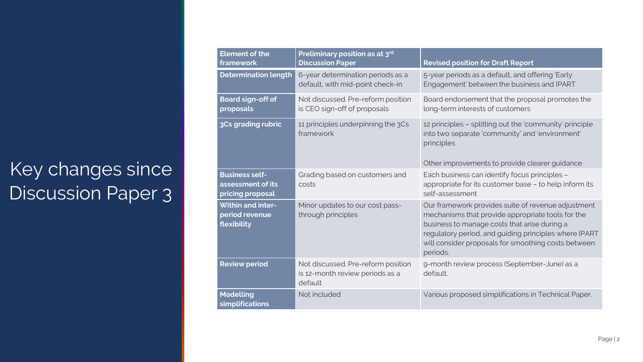# Key changes since Discussion Paper 3

| <b>Element of the</b><br>framework                             | Preliminary position as at 3 <sup>rd</sup><br><b>Discussion Paper</b>            | <b>Revised position for Draft Report</b>                                                                                                                                                                                                                                            |
|----------------------------------------------------------------|----------------------------------------------------------------------------------|-------------------------------------------------------------------------------------------------------------------------------------------------------------------------------------------------------------------------------------------------------------------------------------|
| <b>Determination length</b>                                    | 6-year determination periods as a<br>default, with mid-point check-in            | 5-year periods as a default, and offering 'Early<br>Engagement' between the business and IPART                                                                                                                                                                                      |
| <b>Board sign-off of</b><br>proposals                          | Not discussed. Pre-reform position<br>is CEO sign-off of proposals               | Board endorsement that the proposal promotes the<br>long-term interests of customers                                                                                                                                                                                                |
| 3Cs grading rubric                                             | 11 principles underpinning the 3Cs<br>framework                                  | 12 principles - splitting out the 'community' principle<br>into two separate 'community' and 'environment'<br>principles<br>Other improvements to provide clearer guidance                                                                                                          |
| <b>Business self-</b><br>assessment of its<br>pricing proposal | Grading based on customers and<br>costs                                          | Each business can identify focus principles -<br>appropriate for its customer base - to help inform its<br>self-assessment                                                                                                                                                          |
| <b>Within and inter-</b><br>period revenue<br>flexibility      | Minor updates to our cost pass-<br>through principles                            | Our framework provides suite of revenue adjustment<br>mechanisms that provide appropriate tools for the<br>business to manage costs that arise during a<br>regulatory period, and guiding principles where IPART<br>will consider proposals for smoothing costs between<br>periods. |
| <b>Review period</b>                                           | Not discussed. Pre-reform position<br>is 12-month review periods as a<br>default | 9-month review process (September-June) as a<br>default.                                                                                                                                                                                                                            |
| <b>Modelling</b><br>simplifications                            | Not included                                                                     | Various proposed simplifications in Technical Paper.                                                                                                                                                                                                                                |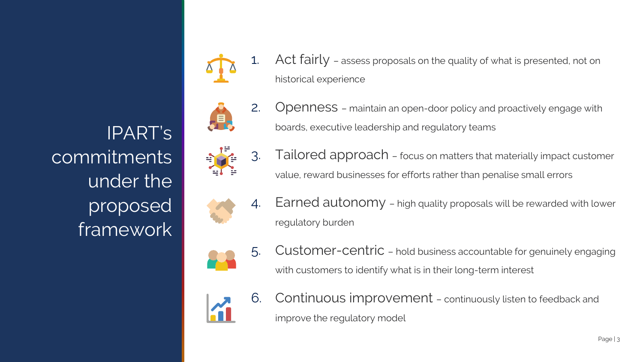commitments

IPART's

under the

proposed

framework

1. Act fairly - assess proposals on the quality of what is presented, not on historical experience



2. Openness – maintain an open-door policy and proactively engage with boards, executive leadership and regulatory teams



3. Tailored approach – focus on matters that materially impact customer value, reward businesses for efforts rather than penalise small errors



4. Earned autonomy – high quality proposals will be rewarded with lower regulatory burden



5. Customer-centric – hold business accountable for genuinely engaging with customers to identify what is in their long-term interest



6. Continuous improvement – continuously listen to feedback and improve the regulatory model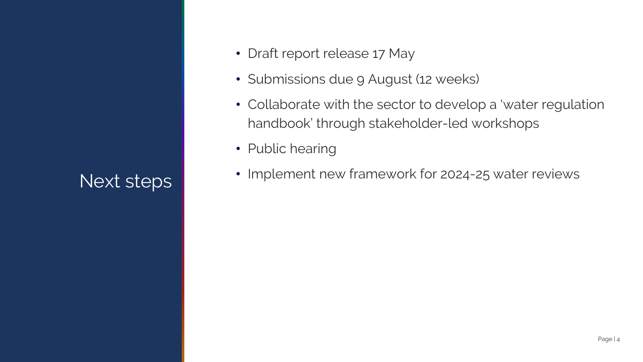## Next steps

- Draft report release 17 May
- Submissions due 9 August (12 weeks)
- Collaborate with the sector to develop a 'water regulation handbook' through stakeholder-led workshops
- Public hearing
- Implement new framework for 2024-25 water reviews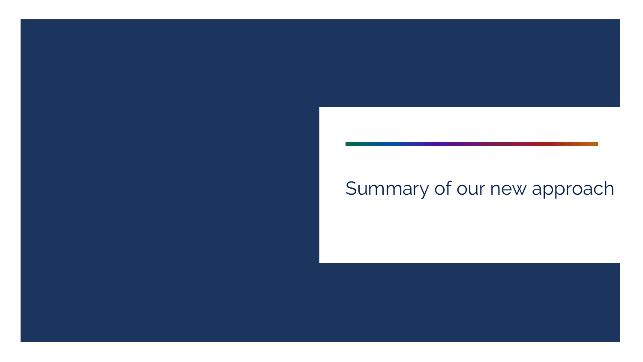## Summary of our new approach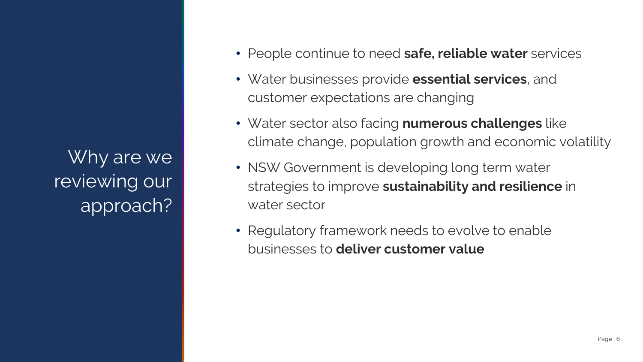Why are we reviewing our approach?

- People continue to need **safe, reliable water** services
- Water businesses provide **essential services**, and customer expectations are changing
- Water sector also facing **numerous challenges** like climate change, population growth and economic volatility
- NSW Government is developing long term water strategies to improve **sustainability and resilience** in water sector
- Regulatory framework needs to evolve to enable businesses to **deliver customer value**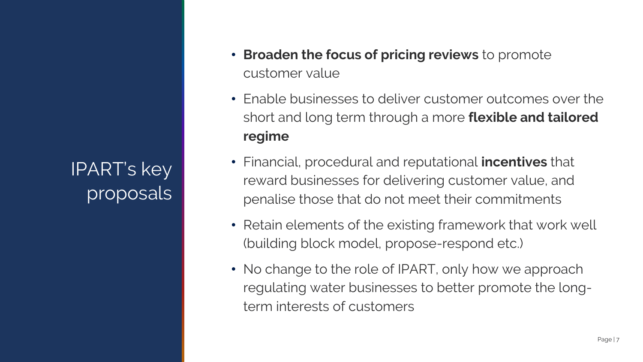IPART's key proposals

- **Broaden the focus of pricing reviews** to promote customer value
- Enable businesses to deliver customer outcomes over the short and long term through a more **flexible and tailored regime**
- Financial, procedural and reputational **incentives** that reward businesses for delivering customer value, and penalise those that do not meet their commitments
- Retain elements of the existing framework that work well (building block model, propose-respond etc.)
- No change to the role of IPART, only how we approach regulating water businesses to better promote the longterm interests of customers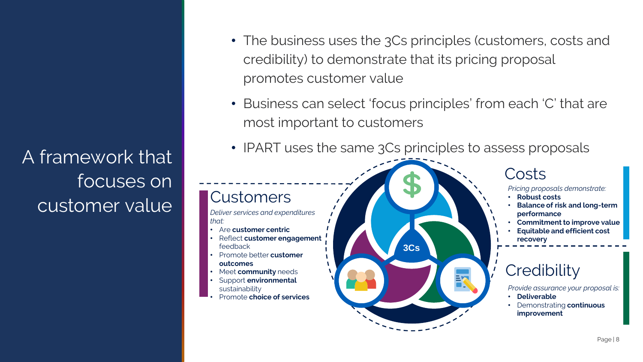A framework that focuses on customer value

- The business uses the 3Cs principles (customers, costs and credibility) to demonstrate that its pricing proposal promotes customer value
- Business can select 'focus principles' from each 'C' that are most important to customers
- IPART uses the same 3Cs principles to assess proposals

#### **Customers**

*Deliver services and expenditures that:*

- Are **customer centric**
- Reflect **customer engagement** feedback
- Promote better **customer**
- **outcomes**
- Meet **community** needs
- Support **environmental**  sustainability
- Promote **choice of services**



#### Costs

- *Pricing proposals demonstrate:*
- **Robust costs**
- **Balance of risk and long-term performance**
- **Commitment to improve value**
- **Equitable and efficient cost recovery**

#### **Credibility**

*Provide assurance your proposal is:*

- **Deliverable**
- Demonstrating **continuous improvement**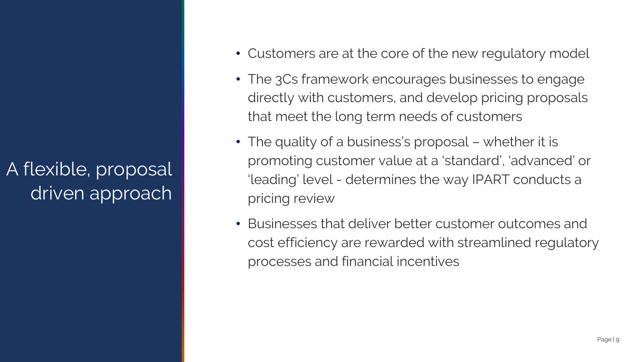A flexible, proposal driven approach

- Customers are at the core of the new regulatory model
- The 3Cs framework encourages businesses to engage directly with customers, and develop pricing proposals that meet the long term needs of customers
- The quality of a business's proposal whether it is promoting customer value at a 'standard', 'advanced' or 'leading' level - determines the way IPART conducts a pricing review
- Businesses that deliver better customer outcomes and cost efficiency are rewarded with streamlined regulatory processes and financial incentives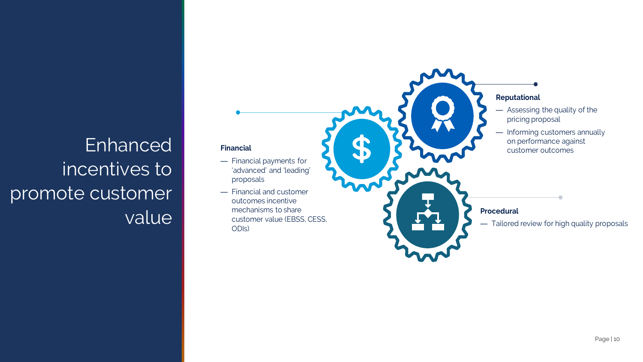# Enhanced incentives to promote customer value

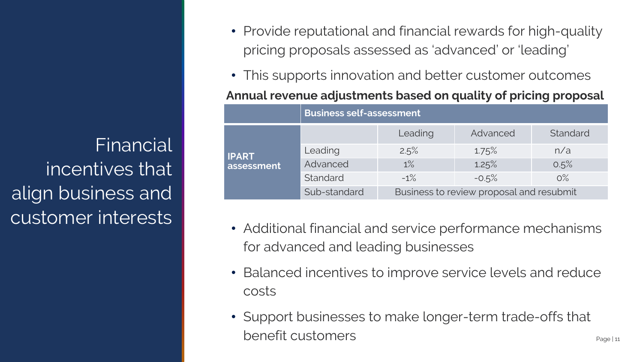Financial incentives that align business and customer interests

- Provide reputational and financial rewards for high-quality pricing proposals assessed as 'advanced' or 'leading'
- This supports innovation and better customer outcomes

**Annual revenue adjustments based on quality of pricing proposal**

|              | <b>Business self-assessment</b> |                                          |          |          |
|--------------|---------------------------------|------------------------------------------|----------|----------|
|              |                                 | Leading                                  | Advanced | Standard |
| <b>IPART</b> | Leading                         | 2.5%                                     | 1.75%    | n/a      |
| assessment   | Advanced                        | 1%                                       | 1.25%    | 0.5%     |
|              | Standard                        | $-1\%$                                   | $-0.5%$  | $O\%$    |
|              | Sub-standard                    | Business to review proposal and resubmit |          |          |

- Additional financial and service performance mechanisms for advanced and leading businesses
- Balanced incentives to improve service levels and reduce costs
- Support businesses to make longer-term trade-offs that benefit customers experiment and the page of the page of the page of the page of the page of the page of the page of the page of the page of the page of the page of the page of the page of the page of the page of the page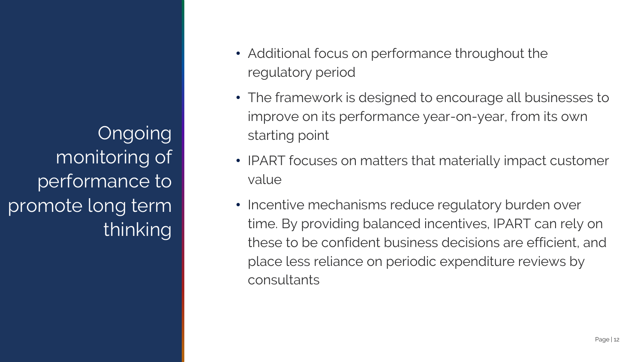Ongoing monitoring of performance to promote long term thinking

- Additional focus on performance throughout the regulatory period
- The framework is designed to encourage all businesses to improve on its performance year-on-year, from its own starting point
- IPART focuses on matters that materially impact customer value
- Incentive mechanisms reduce regulatory burden over time. By providing balanced incentives, IPART can rely on these to be confident business decisions are efficient, and place less reliance on periodic expenditure reviews by consultants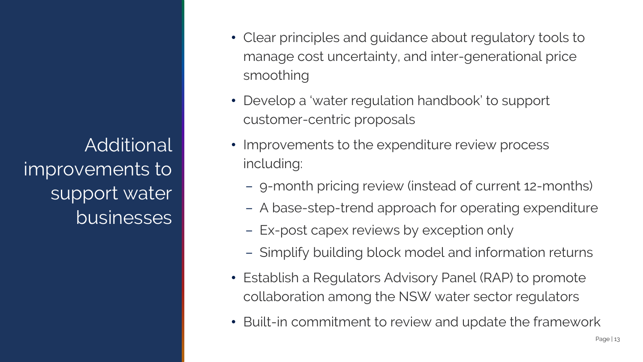Additional improvements to support water businesses

- Clear principles and guidance about regulatory tools to manage cost uncertainty, and inter-generational price smoothing
- Develop a 'water regulation handbook' to support customer-centric proposals
- Improvements to the expenditure review process including:
	- 9-month pricing review (instead of current 12-months)
	- A base-step-trend approach for operating expenditure
	- Ex-post capex reviews by exception only
	- Simplify building block model and information returns
- Establish a Regulators Advisory Panel (RAP) to promote collaboration among the NSW water sector regulators
- Built-in commitment to review and update the framework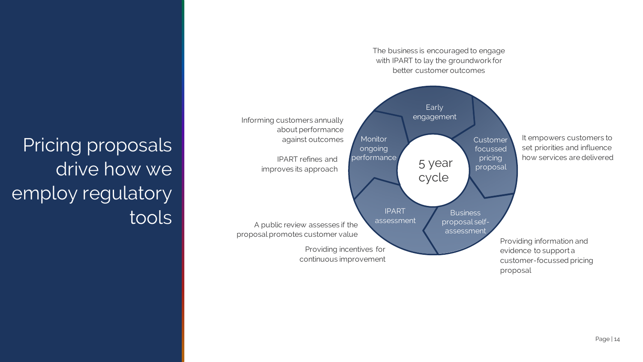

Pricing proposals drive how we employ regulatory tools